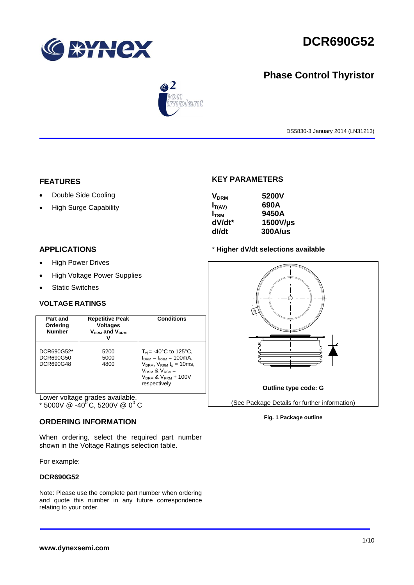

## **Phase Control Thyristor**



DS5830-3 January 2014 (LN31213)

#### **FEATURES**

- Double Side Cooling
- High Surge Capability

## **KEY PARAMETERS**

| 5200V          |
|----------------|
| 690A           |
| 9450A          |
| 1500V/µs       |
| <b>300A/us</b> |
|                |

#### **APPLICATIONS**

- High Power Drives
- High Voltage Power Supplies
- Static Switches

#### **VOLTAGE RATINGS**

| Part and<br>Ordering<br><b>Number</b> | <b>Repetitive Peak</b><br><b>Voltages</b><br>V <sub>DRM</sub> and V <sub>RRM</sub> | Conditions                                                                                                                                                                    |
|---------------------------------------|------------------------------------------------------------------------------------|-------------------------------------------------------------------------------------------------------------------------------------------------------------------------------|
| DCR690G52*<br>DCR690G50<br>DCR690G48  | 5200<br>5000<br>4800                                                               | $T_{\rm vi}$ = -40°C to 125°C,<br>$I_{DRM} = I_{RRM} = 100mA$ ,<br>$V_{DRM}$ , $V_{RRM}$ $t_{p}$ = 10ms,<br>$V_{DSM}$ & $V_{RSM}$ =<br>$VDRM$ & $VRRM + 100V$<br>respectively |

Lower voltage grades available.

#### **ORDERING INFORMATION**

When ordering, select the required part number shown in the Voltage Ratings selection table.

For example:

#### **DCR690G52**

Note: Please use the complete part number when ordering and quote this number in any future correspondence relating to your order.

#### \* **Higher dV/dt selections available**



#### **Fig. 1 Package outline**

 $^*$  5000V @ -40<sup>0</sup>C, 5200V @ 0<sup>0</sup> C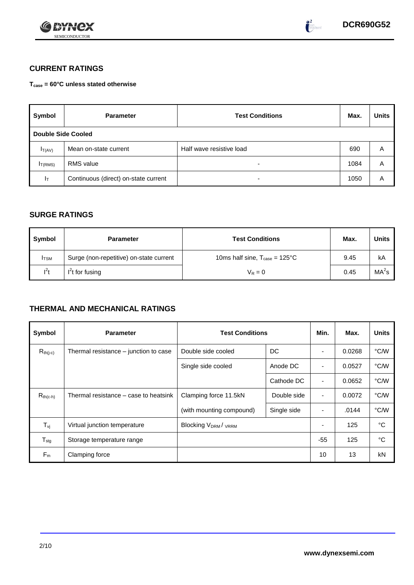



## **CURRENT RATINGS**

**Tcase = 60°C unless stated otherwise**

| Symbol                    | <b>Parameter</b>                     | <b>Test Conditions</b>   | Max. | <b>Units</b> |
|---------------------------|--------------------------------------|--------------------------|------|--------------|
| <b>Double Side Cooled</b> |                                      |                          |      |              |
| $I_{T(AV)}$               | Mean on-state current                | Half wave resistive load | 690  | Α            |
| IT(RMS)                   | <b>RMS</b> value                     | -                        | 1084 | A            |
| ΙT                        | Continuous (direct) on-state current | -                        | 1050 | A            |

### **SURGE RATINGS**

| Symbol       | <b>Parameter</b>                        | <b>Test Conditions</b>                           | Max. | Units             |
|--------------|-----------------------------------------|--------------------------------------------------|------|-------------------|
| <b>I</b> TSM | Surge (non-repetitive) on-state current | 10ms half sine, $T_{\text{case}} = 125^{\circ}C$ | 9.45 | kA                |
| $l^2t$       | $I2t$ for fusing                        | $V_R = 0$                                        | 0.45 | MA <sup>2</sup> s |

## **THERMAL AND MECHANICAL RATINGS**

| Symbol                         | <b>Parameter</b>                      | <b>Test Conditions</b>    |             | Min.                     | Max.   | <b>Units</b> |
|--------------------------------|---------------------------------------|---------------------------|-------------|--------------------------|--------|--------------|
| $R_{th(j-c)}$                  | Thermal resistance – junction to case | Double side cooled        | DC          |                          | 0.0268 | °C/W         |
|                                |                                       | Single side cooled        | Anode DC    | $\blacksquare$           | 0.0527 | °C/W         |
|                                |                                       |                           | Cathode DC  | $\blacksquare$           | 0.0652 | °C/W         |
| $R_{th(c-h)}$                  | Thermal resistance – case to heatsink | Clamping force 11.5kN     | Double side | $\overline{\phantom{a}}$ | 0.0072 | °C/W         |
|                                |                                       | (with mounting compound)  | Single side | ۰                        | .0144  | °C/W         |
| $T_{\rm\scriptscriptstyle VI}$ | Virtual junction temperature          | <b>Blocking VDRM/VRRM</b> |             |                          | 125    | °C           |
| $T_{\text{stg}}$               | Storage temperature range             |                           |             | $-55$                    | 125    | °C           |
| $F_m$                          | Clamping force                        |                           |             | 10                       | 13     | kN           |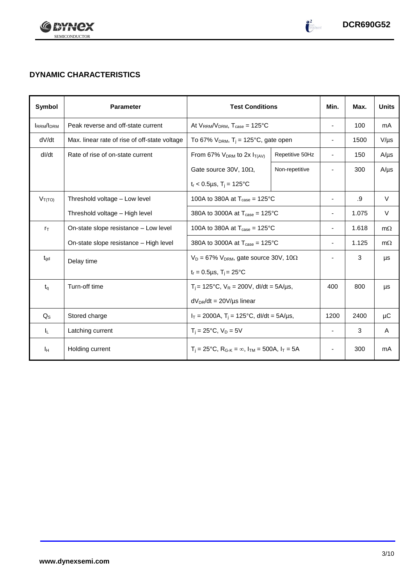

 $\begin{pmatrix} 2 \\ -2 \end{pmatrix}$ 

## **DYNAMIC CHARACTERISTICS**

| <b>Symbol</b>    | <b>Parameter</b>                              | <b>Test Conditions</b>                                                                          |                 | Min.                     | Max.  | <b>Units</b> |
|------------------|-----------------------------------------------|-------------------------------------------------------------------------------------------------|-----------------|--------------------------|-------|--------------|
| <b>IRRM/IDRM</b> | Peak reverse and off-state current            | At $V_{RRM}/V_{DRM}$ , $T_{case} = 125^{\circ}C$                                                |                 | $\overline{\phantom{a}}$ | 100   | mA           |
| dV/dt            | Max. linear rate of rise of off-state voltage | To 67% $V_{DRM}$ , T <sub>i</sub> = 125°C, gate open                                            |                 | $\overline{\phantom{a}}$ | 1500  | $V/\mu s$    |
| dl/dt            | Rate of rise of on-state current              | From 67% $V_{DRM}$ to 2x $I_{T(AV)}$                                                            | Repetitive 50Hz | $\overline{\phantom{a}}$ | 150   | $A/\mu s$    |
|                  |                                               | Gate source 30V, 10 $\Omega$ ,                                                                  | Non-repetitive  |                          | 300   | $A/\mu s$    |
|                  |                                               | $t_r < 0.5 \mu s$ , T <sub>i</sub> = 125°C                                                      |                 |                          |       |              |
| $V_{T(TO)}$      | Threshold voltage - Low level                 | 100A to 380A at $T_{\text{case}} = 125^{\circ}$ C                                               |                 | $\overline{\phantom{a}}$ | .9    | $\vee$       |
|                  | Threshold voltage - High level                | 380A to 3000A at $T_{\text{case}} = 125^{\circ}C$                                               |                 |                          | 1.075 | V            |
| $r_{\text{T}}$   | On-state slope resistance - Low level         | 100A to 380A at $T_{\text{case}} = 125^{\circ}$ C                                               |                 | $\overline{\phantom{a}}$ | 1.618 | $m\Omega$    |
|                  | On-state slope resistance – High level        | 380A to 3000A at $T_{\text{case}} = 125^{\circ}C$                                               |                 | $\overline{\phantom{a}}$ | 1.125 | $m\Omega$    |
| $t_{\rm gd}$     | Delay time                                    | $V_D = 67\% V_{DRM}$ , gate source 30V, 10 $\Omega$                                             |                 |                          | 3     | μs           |
|                  |                                               | $t_r = 0.5 \mu s$ , $T_i = 25^{\circ}C$                                                         |                 |                          |       |              |
| $t_q$            | Turn-off time                                 | $T_i$ = 125°C, $V_R$ = 200V, dl/dt = 5A/µs,                                                     |                 | 400                      | 800   | μs           |
|                  |                                               | $dV_{DR}/dt = 20V/\mu s$ linear                                                                 |                 |                          |       |              |
| $Q_{S}$          | Stored charge                                 | $I_T = 2000A$ , $T_i = 125^{\circ}C$ , dl/dt = 5A/µs,                                           |                 | 1200                     | 2400  | μC           |
| IL.              | Latching current                              | $T_i = 25^{\circ}C$ , $V_D = 5V$                                                                |                 | $\blacksquare$           | 3     | A            |
| Iн               | Holding current                               | $T_i = 25^{\circ}C$ , R <sub>G-K</sub> = $\infty$ , I <sub>TM</sub> = 500A, I <sub>T</sub> = 5A |                 | $\overline{\phantom{a}}$ | 300   | mA           |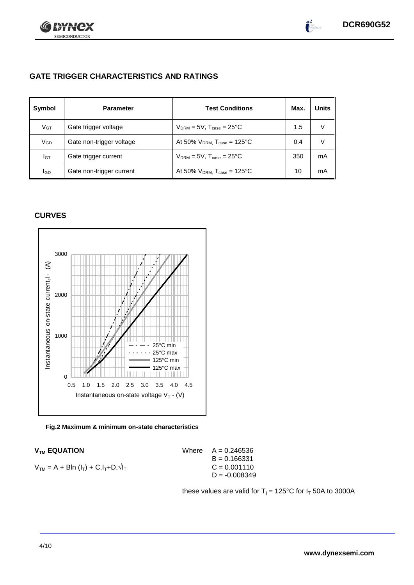

 $\bullet^2$ 

## **GATE TRIGGER CHARACTERISTICS AND RATINGS**

| Symbol          | <b>Parameter</b>         | <b>Test Conditions</b>                       | Max. | <b>Units</b> |
|-----------------|--------------------------|----------------------------------------------|------|--------------|
| V <sub>GT</sub> | Gate trigger voltage     | $V_{DRM}$ = 5V, $T_{case}$ = 25°C            | 1.5  | V            |
| VGD             | Gate non-trigger voltage | At 50% $V_{DRM}$ , $T_{case} = 125^{\circ}C$ | 0.4  | V            |
| IGТ             | Gate trigger current     | $V_{DRM}$ = 5V, $T_{case}$ = 25°C            | 350  | mA           |
| lgp             | Gate non-trigger current | At 50% $V_{DRM}$ , $T_{case} = 125$ °C       | 10   | mA           |

### **CURVES**



#### **Fig.2 Maximum & minimum on-state characteristics**

| $V_{TM} = A + Bln (I_T) + C.I_T + D.\sqrt{I_T}$ | $C = 0.001110$ |
|-------------------------------------------------|----------------|
|                                                 |                |

 $V_{TM}$  **EQUATION** Where  $A = 0.246536$  $B = 0.166331$  $D = -0.008349$ 

these values are valid for  $T_j = 125^{\circ}C$  for  $I_T$  50A to 3000A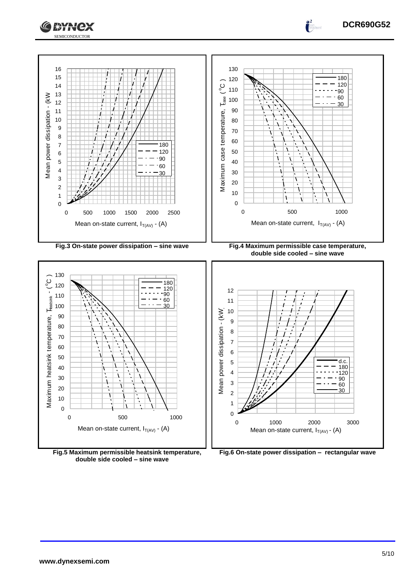



**Fig.5 Maximum permissible heatsink temperature, double side cooled – sine wave**

**Fig.6 On-state power dissipation – rectangular wave**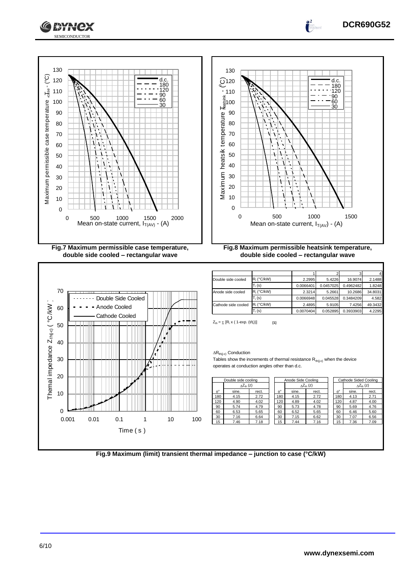



**KY**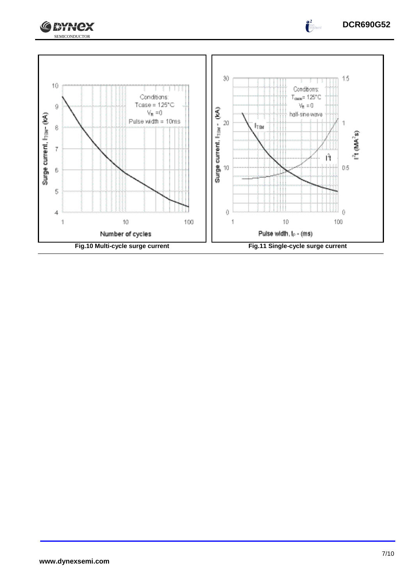



 $\bullet^2$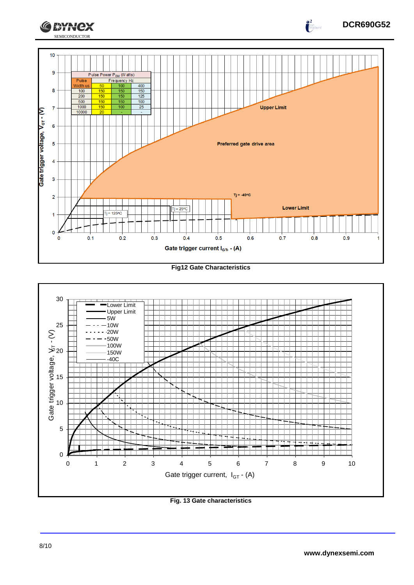

**Fig12 Gate Characteristics**



**Fig. 13 Gate characteristics**

 $\int_{0}^{2}$ 

**CEYNEX**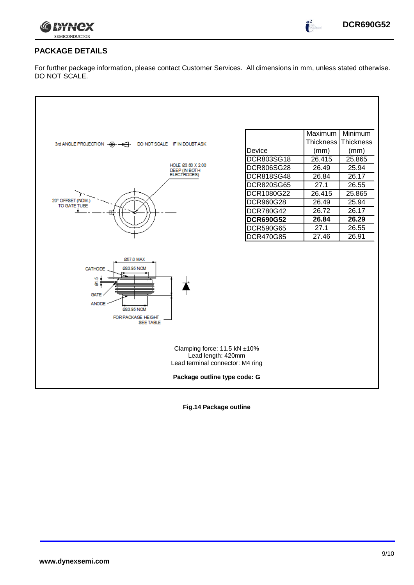

 $\bullet^2$ 

## **PACKAGE DETAILS**

For further package information, please contact Customer Services. All dimensions in mm, unless stated otherwise. DO NOT SCALE.

| DCR803SG18<br>26.415<br>25.865<br>HOLE 03.60 X 2.00<br>26.49<br>25.94<br>DCR806SG28<br>DEEP (IN BOTH)<br>ELECTRODES)<br><b>DCR818SG48</b><br>26.84<br>26.17<br>27.1<br>26.55<br><b>DCR820SG65</b><br>26.415<br>25.865<br>DCR1080G22<br>20° OFFSET (NOM.)<br>25.94<br>DCR960G28<br>26.49<br>TO GATE TUBE<br>26.72<br>26.17<br>DCR780G42<br><b>DCR690G52</b><br>26.29<br>26.84<br><b>DCR590G65</b><br>27.1<br>26.55<br>DCR470G85<br>27.46<br>26.91<br><b>057.0 MAX</b><br>033.95 NOM<br>CATHODE<br>Ψą<br>ಕ<br><b>GATE</b><br><b>ANODE</b><br>033.95 NOM<br>FOR PACKAGE HEIGHT<br><b>SEE TABLE</b><br>Clamping force: 11.5 kN ±10%<br>Lead length: 420mm<br>Lead terminal connector: M4 ring | DO NOT SCALE IF IN DOUBT ASK<br>3rd ANGLE PROJECTION $\oplus$ $\oplus$ | Device | Maximum<br><b>Thickness</b><br>(mm) | Minimum<br>Thickness<br>(mm) |
|-------------------------------------------------------------------------------------------------------------------------------------------------------------------------------------------------------------------------------------------------------------------------------------------------------------------------------------------------------------------------------------------------------------------------------------------------------------------------------------------------------------------------------------------------------------------------------------------------------------------------------------------------------------------------------------------|------------------------------------------------------------------------|--------|-------------------------------------|------------------------------|
|                                                                                                                                                                                                                                                                                                                                                                                                                                                                                                                                                                                                                                                                                           |                                                                        |        |                                     |                              |
|                                                                                                                                                                                                                                                                                                                                                                                                                                                                                                                                                                                                                                                                                           |                                                                        |        |                                     |                              |
|                                                                                                                                                                                                                                                                                                                                                                                                                                                                                                                                                                                                                                                                                           |                                                                        |        |                                     |                              |
|                                                                                                                                                                                                                                                                                                                                                                                                                                                                                                                                                                                                                                                                                           |                                                                        |        |                                     |                              |
|                                                                                                                                                                                                                                                                                                                                                                                                                                                                                                                                                                                                                                                                                           |                                                                        |        |                                     |                              |
|                                                                                                                                                                                                                                                                                                                                                                                                                                                                                                                                                                                                                                                                                           |                                                                        |        |                                     |                              |
|                                                                                                                                                                                                                                                                                                                                                                                                                                                                                                                                                                                                                                                                                           |                                                                        |        |                                     |                              |
|                                                                                                                                                                                                                                                                                                                                                                                                                                                                                                                                                                                                                                                                                           |                                                                        |        |                                     |                              |
|                                                                                                                                                                                                                                                                                                                                                                                                                                                                                                                                                                                                                                                                                           |                                                                        |        |                                     |                              |
|                                                                                                                                                                                                                                                                                                                                                                                                                                                                                                                                                                                                                                                                                           |                                                                        |        |                                     |                              |
| Package outline type code: G                                                                                                                                                                                                                                                                                                                                                                                                                                                                                                                                                                                                                                                              |                                                                        |        |                                     |                              |

**Fig.14 Package outline**